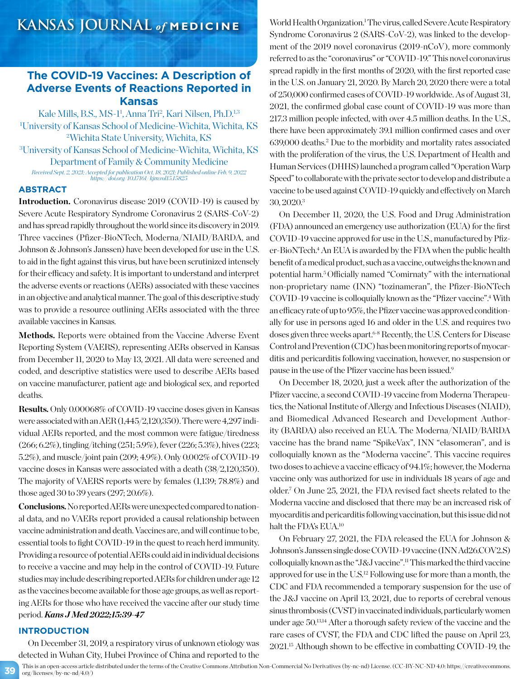## **The COVID-19 Vaccines: A Description of Adverse Events of Reactions Reported in Kansas**

Kale Mills, B.S., MS-1<sup>1</sup>, Anna Tri<sup>2</sup>, Kari Nilsen, Ph.D.<sup>1,3</sup> 1 University of Kansas School of Medicine-Wichita, Wichita, KS 2 Wichita State University, Wichita, KS

3 University of Kansas School of Medicine-Wichita, Wichita, KS Department of Family & Community Medicine *Received Sept. 2, 2021; Accepted for publication Oct. 18, 2021; Published online Feb. 9, 2022*

*https://doi.org/10.17161/kjm.vol15.15825*

## **ABSTRACT**

**Introduction.** Coronavirus disease 2019 (COVID-19) is caused by Severe Acute Respiratory Syndrome Coronavirus 2 (SARS-CoV-2) and has spread rapidly throughout the world since its discovery in 2019. Three vaccines (Pfizer-BioNTech, Moderna/NIAID/BARDA, and Johnson & Johnson's Janssen) have been developed for use in the U.S. to aid in the fight against this virus, but have been scrutinized intensely for their efficacy and safety. It is important to understand and interpret the adverse events or reactions (AERs) associated with these vaccines in an objective and analytical manner. The goal of this descriptive study was to provide a resource outlining AERs associated with the three available vaccines in Kansas.

Methods. Reports were obtained from the Vaccine Adverse Event Reporting System (VAERS), representing AERs observed in Kansas from December 11, 2020 to May 13, 2021. All data were screened and coded, and descriptive statistics were used to describe AERs based on vaccine manufacturer, patient age and biological sex, and reported deaths.

**Results.** Only 0.00068% of COVID-19 vaccine doses given in Kansas were associated with an AER (1,445/2,120,350). There were 4,297 individual AERs reported, and the most common were fatigue/tiredness (266; 6.2%), tingling/itching (251; 5.9%), fever (226; 5.3%), hives (223; 5.2%), and muscle/joint pain (209; 4.9%). Only 0.002% of COVID-19 vaccine doses in Kansas were associated with a death (38/2,120,350). The majority of VAERS reports were by females (1,139; 78.8%) and those aged 30 to 39 years (297; 20.6%).

**Conclusions.**No reported AERs were unexpected compared to national data, and no VAERs report provided a causal relationship between vaccine administration and death. Vaccines are, and will continue to be, essential tools to fight COVID-19 in the quest to reach herd immunity. Providing a resource of potential AERs could aid in individual decisions to receive a vaccine and may help in the control of COVID-19. Future studies may include describing reported AERs for children under age 12 as the vaccines become available for those age groups, as well as reporting AERs for those who have received the vaccine after our study time period. *Kans J Med 2022;15:39-47*

### **INTRODUCTION**

On December 31, 2019, a respiratory virus of unknown etiology was detected in Wuhan City, Hubei Province of China and reported to the

World Health Organization.<sup>1</sup> The virus, called Severe Acute Respiratory Syndrome Coronavirus 2 (SARS-CoV-2), was linked to the development of the 2019 novel coronavirus (2019-nCoV), more commonly referred to as the "coronavirus" or "COVID-19." This novel coronavirus spread rapidly in the first months of 2020, with the first reported case in the U.S. on January 21, 2020. By March 20, 2020 there were a total of 250,000 confirmed cases of COVID-19 worldwide. As of August 31, 2021, the confirmed global case count of COVID-19 was more than 217.3 million people infected, with over 4.5 million deaths. In the U.S., there have been approximately 39.1 million confirmed cases and over 639,000 deaths.2 Due to the morbidity and mortality rates associated with the proliferation of the virus, the U.S. Department of Health and Human Services (DHHS) launched a program called "Operation Warp Speed" to collaborate with the private sector to develop and distribute a vaccine to be used against COVID-19 quickly and effectively on March 30, 2020.3

On December 11, 2020, the U.S. Food and Drug Administration (FDA) announced an emergency use authorization (EUA) for the first COVID-19 vaccine approved for use in the U.S., manufactured by Pfizer-BioNTech.<sup>4</sup> An EUA is awarded by the FDA when the public health benefit of a medical product, such as a vaccine, outweighs the known and potential harm.5 Officially named "Comirnaty" with the international non-proprietary name (INN) "tozinameran", the Pfizer-BioNTech COVID-19 vaccine is colloquially known as the "Pfizer vaccine".4 With an efficacy rate of up to 95%, the Pfizer vaccine was approved conditionally for use in persons aged 16 and older in the U.S. and requires two doses given three weeks apart.<sup>6-8</sup> Recently, the U.S. Centers for Disease Control and Prevention (CDC) has been monitoring reports of myocarditis and pericarditis following vaccination, however, no suspension or pause in the use of the Pfizer vaccine has been issued.9

On December 18, 2020, just a week after the authorization of the Pfizer vaccine, a second COVID-19 vaccine from Moderna Therapeutics, the National Institute of Allergy and Infectious Diseases (NIAID), and Biomedical Advanced Research and Development Authority (BARDA) also received an EUA. The Moderna/NIAID/BARDA vaccine has the brand name "SpikeVax", INN "elasomeran", and is colloquially known as the "Moderna vaccine". This vaccine requires two doses to achieve a vaccine efficacy of 94.1%; however, the Moderna vaccine only was authorized for use in individuals 18 years of age and older.7 On June 25, 2021, the FDA revised fact sheets related to the Moderna vaccine and disclosed that there may be an increased risk of myocarditis and pericarditis following vaccination, but this issue did not halt the FDA's EUA.10

On February 27, 2021, the FDA released the EUA for Johnson & Johnson's Janssen single dose COVID-19 vaccine (INN Ad26.COV2.S) colloquially known as the "J&J vaccine".11 This marked the third vaccine approved for use in the U.S.12 Following use for more than a month, the CDC and FDA recommended a temporary suspension for the use of the J&J vaccine on April 13, 2021, due to reports of cerebral venous sinus thrombosis (CVST) in vaccinated individuals, particularly women under age 50.13,14 After a thorough safety review of the vaccine and the rare cases of CVST, the FDA and CDC lifted the pause on April 23, 2021.15 Although shown to be effective in combatting COVID-19, the

This is an open-access article distributed under the terms of the Creative Commons Attribution Non-Commercial No Derivatives (by-nc-nd) License. (CC-BY-NC-ND 4.0: https://creativecommons. org/licenses/by-nc-nd/4.0/)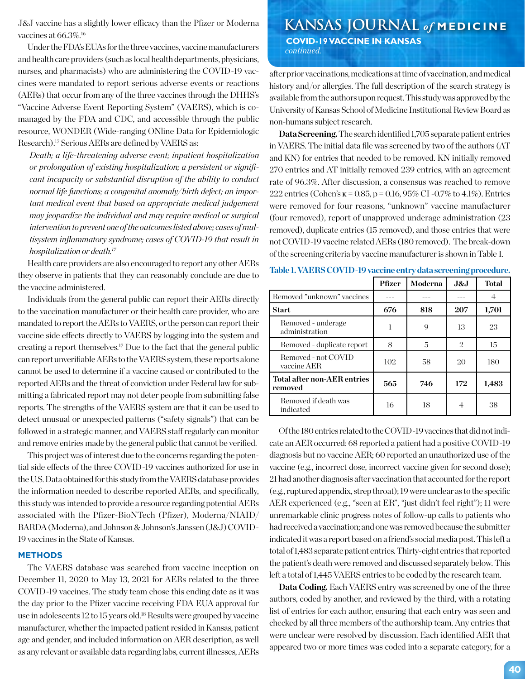vaccines at 66.3%.<sup>16</sup>

Under the FDA's EUAs for the three vaccines, vaccine manufacturers and health care providers (such as local health departments, physicians, nurses, and pharmacists) who are administering the COVID-19 vaccines were mandated to report serious adverse events or reactions (AERs) that occur from any of the three vaccines through the DHHS's "Vaccine Adverse Event Reporting System" (VAERS), which is comanaged by the FDA and CDC, and accessible through the public resource, WONDER (Wide-ranging ONline Data for Epidemiologic Research).<sup>17</sup> Serious AERs are defined by VAERS as:

*Death; a life-threatening adverse event; inpatient hospitalization or prolongation of existing hospitalization; a persistent or significant incapacity or substantial disruption of the ability to conduct normal life functions; a congenital anomaly/birth defect; an important medical event that based on appropriate medical judgement may jeopardize the individual and may require medical or surgical intervention to prevent one of the outcomes listed above; cases of multisystem inflammatory syndrome; cases of COVID-19 that result in hospitalization or death.17*

Health care providers are also encouraged to report any other AERs they observe in patients that they can reasonably conclude are due to the vaccine administered.

Individuals from the general public can report their AERs directly to the vaccination manufacturer or their health care provider, who are mandated to report the AERs to VAERS, or the person can report their vaccine side effects directly to VAERS by logging into the system and creating a report themselves.17 Due to the fact that the general public can report unverifiable AERs to the VAERS system, these reports alone cannot be used to determine if a vaccine caused or contributed to the reported AERs and the threat of conviction under Federal law for submitting a fabricated report may not deter people from submitting false reports. The strengths of the VAERS system are that it can be used to detect unusual or unexpected patterns ("safety signals") that can be followed in a strategic manner, and VAERS staff regularly can monitor and remove entries made by the general public that cannot be verified.

This project was of interest due to the concerns regarding the potential side effects of the three COVID-19 vaccines authorized for use in the U.S. Data obtained for this study from the VAERS database provides the information needed to describe reported AERs, and specifically, this study was intended to provide a resource regarding potential AERs associated with the Pfizer-BioNTech (Pfizer), Moderna/NIAID/ BARDA (Moderna), and Johnson & Johnson's Janssen (J&J) COVID-19 vaccines in the State of Kansas.

#### **METHODS**

The VAERS database was searched from vaccine inception on December 11, 2020 to May 13, 2021 for AERs related to the three COVID-19 vaccines. The study team chose this ending date as it was the day prior to the Pfizer vaccine receiving FDA EUA approval for use in adolescents 12 to 15 years old.18 Results were grouped by vaccine manufacturer, whether the impacted patient resided in Kansas, patient age and gender, and included information on AER description, as well as any relevant or available data regarding labs, current illnesses, AERs

# J&J vaccine has a slightly lower efficacy than the Pfizer or Moderna **KANSAS JOURNAL** of **MEDICINE**

 **COVID-19 VACCINE IN KANSAS** *continued.*

after prior vaccinations, medications at time of vaccination, and medical history and/or allergies. The full description of the search strategy is available from the authors upon request. This study was approved by the University of Kansas School of Medicine Institutional Review Board as non-humans subject research.

**Data Screening.** The search identified 1,705 separate patient entries in VAERS. The initial data file was screened by two of the authors (AT and KN) for entries that needed to be removed. KN initially removed 270 entries and AT initially removed 239 entries, with an agreement rate of 96.3%. After discussion, a consensus was reached to remove 222 entries (Cohen's ĸ = 0.85, p = 0.16, 95% CI -0.7% to 4.1%). Entries were removed for four reasons, "unknown" vaccine manufacturer (four removed), report of unapproved underage administration (23 removed), duplicate entries (15 removed), and those entries that were not COVID-19 vaccine related AERs (180 removed). The break-down of the screening criteria by vaccine manufacturer is shown in Table 1.

|  |  | Table 1. VAERS COVID-19 vaccine entry data screening procedure. |
|--|--|-----------------------------------------------------------------|
|--|--|-----------------------------------------------------------------|

|                                        | <b>Pfizer</b> | Moderna | J&J            | <b>Total</b> |
|----------------------------------------|---------------|---------|----------------|--------------|
| Removed "unknown" vaccines             |               |         |                | 4            |
| <b>Start</b>                           | 676           | 818     | 207            | 1,701        |
| Removed - underage<br>administration   |               | 9       | 13             | 23           |
| Removed - duplicate report             | 8             | 5       | $\overline{2}$ | 15           |
| Removed - not COVID<br>vaccine AER     | 102           | 58      | 20             | 180          |
| Total after non-AER entries<br>removed | 565           | 746     | 172            | 1,483        |
| Removed if death was<br>indicated      | 16            | 18      |                | 38           |

Of the 180 entries related to the COVID-19 vaccines that did not indicate an AER occurred: 68 reported a patient had a positive COVID-19 diagnosis but no vaccine AER; 60 reported an unauthorized use of the vaccine (e.g., incorrect dose, incorrect vaccine given for second dose); 21 had another diagnosis after vaccination that accounted for the report (e.g., ruptured appendix, strep throat); 19 were unclear as to the specific AER experienced (e.g., "seen at ER", "just didn't feel right"); 11 were unremarkable clinic progress notes of follow-up calls to patients who had received a vaccination; and one was removed because the submitter indicated it was a report based on a friend's social media post. This left a total of 1,483 separate patient entries. Thirty-eight entries that reported the patient's death were removed and discussed separately below. This left a total of 1,445 VAERS entries to be coded by the research team.

**Data Coding.** Each VAERS entry was screened by one of the three authors, coded by another, and reviewed by the third, with a rotating list of entries for each author, ensuring that each entry was seen and checked by all three members of the authorship team. Any entries that were unclear were resolved by discussion. Each identified AER that appeared two or more times was coded into a separate category, for a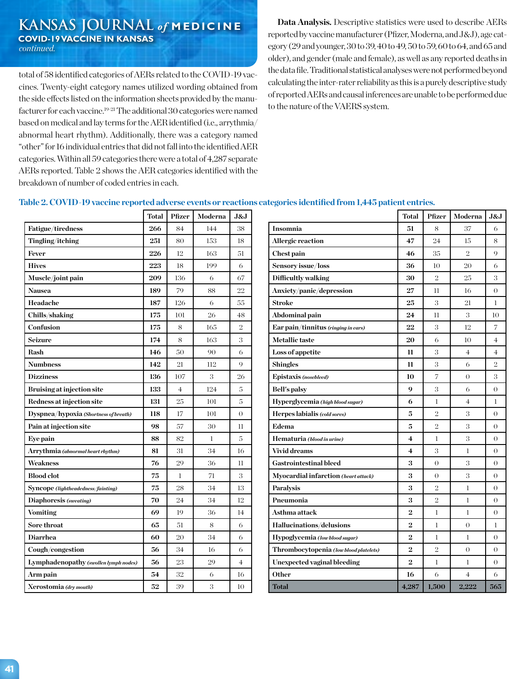**KANSAS JOURNAL** *of* **MEDICINE COVID-19 VACCINE IN KANSAS** *continued.*

total of 58 identified categories of AERs related to the COVID-19 vaccines. Twenty-eight category names utilized wording obtained from the side effects listed on the information sheets provided by the manufacturer for each vaccine.19-21 The additional 30 categories were named based on medical and lay terms for the AER identified (i.e., arrythmia/ abnormal heart rhythm). Additionally, there was a category named "other" for 16 individual entries that did not fall into the identified AER categories. Within all 59 categories there were a total of 4,287 separate AERs reported. Table 2 shows the AER categories identified with the breakdown of number of coded entries in each.

**Vomiting 69** 19 36 14 **Sore throat 65** 51 8 6 **Diarrhea 60 60 34 6 Cough/congestion 56** 34 16 6 **Lymphadenopathy** (*swollen lymph nodes*)  $\begin{bmatrix} 56 \\ 23 \end{bmatrix}$  29  $\begin{bmatrix} 4 \\ 2 \end{bmatrix}$ **Arm pain 54** 32 6 16 **Xerostomia** (dry mouth) **52**  $\begin{array}{|c|c|c|c|c|} \hline 39 & 3 & 10 \ \hline \end{array}$ 

**Data Analysis.** Descriptive statistics were used to describe AERs reported by vaccine manufacturer (Pfizer, Moderna, and J&J), age category (29 and younger, 30 to 39, 40 to 49, 50 to 59, 60 to 64, and 65 and older), and gender (male and female), as well as any reported deaths in the data file. Traditional statistical analyses were not performed beyond calculating the inter-rater reliability as this is a purely descriptive study of reported AERs and causal inferences are unable to be performed due to the nature of the VAERS system.

|                                       | <b>Total</b> | Pfizer         | Moderna | J&J            |                                |
|---------------------------------------|--------------|----------------|---------|----------------|--------------------------------|
| Fatigue/tiredness                     | 266          | 84             | 144     | 38             | Insomnia                       |
| Tingling/itching                      | 251          | 80             | 153     | 18             | <b>Allergic reaction</b>       |
| Fever                                 | 226          | 12             | 163     | 51             | <b>Chest pain</b>              |
| <b>Hives</b>                          | 223          | 18             | 199     | 6              | Sensory issue/loss             |
| Muscle/joint pain                     | 209          | 136            | 6       | 67             | Difficultly walking            |
| <b>Nausea</b>                         | 189          | 79             | 88      | 22             | Anxiety/panic/depression       |
| Headache                              | 187          | 126            | 6       | 55             | <b>Stroke</b>                  |
| Chills/shaking                        | 175          | 101            | 26      | 48             | Abdominal pain                 |
| Confusion                             | 175          | 8              | 165     | $\overline{2}$ | Ear pain/tinnitus $(ringingin$ |
| <b>Seizure</b>                        | 174          | 8              | 163     | 3              | <b>Metallic taste</b>          |
| Rash                                  | 146          | 50             | 90      | 6              | Loss of appetite               |
| <b>Numbness</b>                       | 142          | 21             | 112     | 9              | <b>Shingles</b>                |
| <b>Dizziness</b>                      | 136          | 107            | 3       | 26             | Epistaxis (nosebleed)          |
| <b>Bruising at injection site</b>     | 133          | $\overline{4}$ | 124     | 5              | Bell's palsy                   |
| Redness at injection site             | 131          | 25             | 101     | 5              | Hyperglycemia (high blood su   |
| Dyspnea/hypoxia (Shortness of breath) | 118          | 17             | 101     | $\Omega$       | Herpes labialis (cold sores)   |
| Pain at injection site                | 98           | 57             | 30      | 11             | Edema                          |
| Eve pain                              | 88           | 82             | 1       | 5              | Hematuria (blood in urine)     |
| Arrythmia (abnormal heart rhythm)     | 81           | 31             | 34      | 16             | <b>Vivid dreams</b>            |
| <b>Weakness</b>                       | 76           | 29             | 36      | 11             | <b>Gastrointestinal bleed</b>  |
| <b>Blood</b> clot                     | 75           | 1              | 71      | 3              | Myocardial infarction (heal    |
| Syncope (lightheadedness/fainting)    | 75           | 28             | 34      | 13             | Paralysis                      |
| Diaphoresis (sweating)                | 70           | 24             | 34      | 12             | Pneumonia                      |

**Table 2. COVID-19 vaccine reported adverse events or reactions categories identified from 1,445 patient entries.** 

|                                        | <b>Total</b>   | Pfizer         | Moderna        | J&J            |
|----------------------------------------|----------------|----------------|----------------|----------------|
| Insomnia                               | 51             | 8              | 37             | 6              |
| Allergic reaction                      | 47             | 24             | 15             | 8              |
| Chest pain                             | 46             | 35             | $\overline{2}$ | 9              |
| Sensory issue/loss                     | 36             | 10             | 20             | 6              |
| Difficultly walking                    | 30             | $\overline{2}$ | 25             | 3              |
| Anxiety/panic/depression               | 27             | 11             | 16             | 0              |
| <b>Stroke</b>                          | 25             | 3              | 21             | 1              |
| Abdominal pain                         | 24             | 11             | 3              | 10             |
| Ear pain/tinnitus (ringing in ears)    | 22             | 3              | 12             | 7              |
| <b>Metallic</b> taste                  | 20             | 6              | 10             | 4              |
| Loss of appetite                       | 11             | 3              | $\overline{4}$ | $\overline{4}$ |
| Shingles                               | 11             | 3              | 6              | $\overline{2}$ |
| Epistaxis (nosebleed)                  | 10             | 7              | 0              | 3              |
| Bell's palsy                           | 9              | 3              | 6              | 0              |
| Hyperglycemia (high blood sugar)       | 6              | 1              | $\overline{4}$ | 1              |
| Herpes labialis (cold sores)           | 5              | $\overline{2}$ | 3              | 0              |
| Edema                                  | 5              | $\overline{2}$ | 3              | $\theta$       |
| Hematuria (blood in urine)             | 4              | 1              | 3              | 0              |
| Vivid dreams                           | $\overline{4}$ | 3              | 1              | 0              |
| Gastrointestinal bleed                 | 3              | $\theta$       | 3              | 0              |
| Myocardial infarction (heart attack)   | 3              | $\theta$       | 3              | $\theta$       |
| Paralysis                              | 3              | $\overline{2}$ | 1              | $\theta$       |
| Pneumonia                              | 3              | $\overline{2}$ | 1              | 0              |
| Asthma attack                          | $\overline{2}$ | 1              | 1              | 0              |
| Hallucinations/delusions               | $\bf{2}$       | 1              | $\Omega$       | 1              |
| Hypoglycemia (low blood sugar)         | $\overline{2}$ | 1              | 1              | $\theta$       |
| Thrombocytopenia (low blood platelets) | $\overline{2}$ | $\overline{2}$ | $\overline{0}$ | $\Omega$       |
| Unexpected vaginal bleeding            | $\bf{2}$       | 1              | 1              | 0              |
| Other                                  | 16             | 6              | 4              | 6              |
| Total                                  | 4,287          | 1,500          | 2.222          | 565            |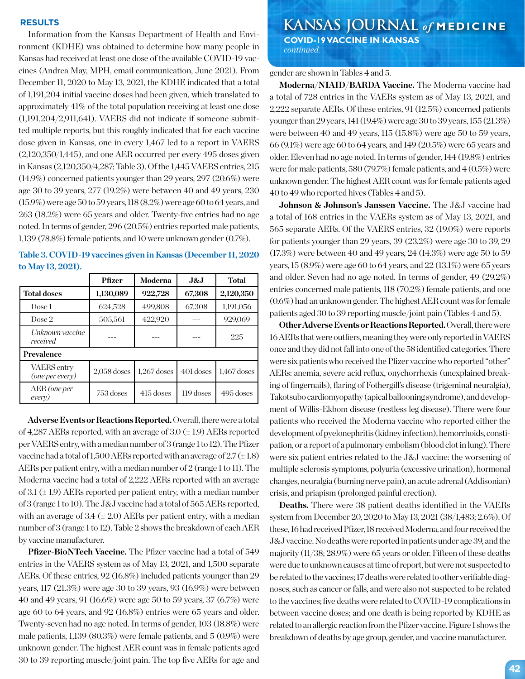Information from the Kansas Department of Health and Environment (KDHE) was obtained to determine how many people in Kansas had received at least one dose of the available COVID-19 vaccines (Andrea May, MPH, email communication, June 2021). From December 11, 2020 to May 13, 2021, the KDHE indicated that a total of 1,191,204 initial vaccine doses had been given, which translated to approximately 41% of the total population receiving at least one dose (1,191,204/2,911,641). VAERS did not indicate if someone submitted multiple reports, but this roughly indicated that for each vaccine dose given in Kansas, one in every 1,467 led to a report in VAERS (2,120,350/1,445), and one AER occurred per every 495 doses given in Kansas (2,120,350/4,287; Table 3). Of the 1,445 VAERS entries, 215 (14.9%) concerned patients younger than 29 years, 297 (20.6%) were age 30 to 39 years, 277 (19.2%) were between 40 and 49 years, 230 (15.9%) were age 50 to 59 years, 118 (8.2%) were age 60 to 64 years, and 263 (18.2%) were 65 years and older. Twenty-five entries had no age noted. In terms of gender, 296 (20.5%) entries reported male patients, 1,139 (78.8%) female patients, and 10 were unknown gender (0.7%).

| Table 3. COVID-19 vaccines given in Kansas (December 11, 2020 |  |  |
|---------------------------------------------------------------|--|--|
| to May 13, 2021).                                             |  |  |
|                                                               |  |  |

|                                | <b>Pfizer</b> | Moderna       | J&J         | <b>Total</b>  |  |
|--------------------------------|---------------|---------------|-------------|---------------|--|
| <b>Total doses</b>             | 1,130,089     | 922,728       | 67,308      | 2,120,350     |  |
| Dose 1                         | 624,528       | 499,808       | 67,308      | 1,191,056     |  |
| Dose 2                         | 505,561       | 422,920       |             | 929,069       |  |
| Unknown vaccine<br>received    |               |               |             | 225           |  |
| Prevalence                     |               |               |             |               |  |
| VAERS entry<br>(one per every) | $2,058$ doses | $1,267$ doses | 401 doses   | $1,467$ doses |  |
| AER (one per<br>every)         | 753 doses     |               | $119$ doses | 495 doses     |  |

**Adverse Events or Reactions Reported.** Overall, there were a total of 4,287 AERs reported, with an average of 3.0  $(\pm 1.9)$  AERs reported per VAERS entry, with a median number of 3 (range 1 to 12). The Pfizer vaccine had a total of 1,500 AERs reported with an average of  $2.7 (\pm 1.8)$ AERs per patient entry, with a median number of 2 (range 1 to 11). The Moderna vaccine had a total of 2,222 AERs reported with an average of 3.1 ( $\pm$  1.9) AERs reported per patient entry, with a median number of 3 (range 1 to 10). The J&J vaccine had a total of 565 AERs reported, with an average of 3.4 ( $\pm$  2.0) AERs per patient entry, with a median number of 3 (range 1 to 12). Table 2 shows the breakdown of each AER by vaccine manufacturer.

**Pfizer-BioNTech Vaccine.** The Pfizer vaccine had a total of 549 entries in the VAERS system as of May 13, 2021, and 1,500 separate AERs. Of these entries, 92 (16.8%) included patients younger than 29 years, 117 (21.3%) were age 30 to 39 years, 93 (16.9%) were between 40 and 49 years, 91 (16.6%) were age 50 to 59 years, 37 (6.7%) were age 60 to 64 years, and 92 (16.8%) entries were 65 years and older. Twenty-seven had no age noted. In terms of gender, 103 (18.8%) were male patients, 1,139 (80.3%) were female patients, and 5 (0.9%) were unknown gender. The highest AER count was in female patients aged 30 to 39 reporting muscle/joint pain. The top five AERs for age and

## **KANSAS JOURNAL** *of* **MEDICINE RESULTS COVID-19 VACCINE IN KANSAS**

 *continued.*

gender are shown in Tables 4 and 5.

**Moderna/NIAID/BARDA Vaccine.** The Moderna vaccine had a total of 728 entries in the VAERs system as of May 13, 2021, and 2,222 separate AERs. Of these entries, 91 (12.5%) concerned patients younger than 29 years, 141 (19.4%) were age 30 to 39 years, 155 (21.3%) were between 40 and 49 years, 115 (15.8%) were age 50 to 59 years, 66 (9.1%) were age 60 to 64 years, and 149 (20.5%) were 65 years and older. Eleven had no age noted. In terms of gender, 144 (19.8%) entries were for male patients, 580 (79.7%) female patients, and 4 (0.5%) were unknown gender. The highest AER count was for female patients aged 40 to 49 who reported hives (Tables 4 and 5).

**Johnson & Johnson's Janssen Vaccine.** The J&J vaccine had a total of 168 entries in the VAERs system as of May 13, 2021, and 565 separate AERs. Of the VAERS entries, 32 (19.0%) were reports for patients younger than 29 years, 39 (23.2%) were age 30 to 39, 29 (17.3%) were between 40 and 49 years, 24 (14.3%) were age 50 to 59 years, 15 (8.9%) were age 60 to 64 years, and 22 (13.1%) were 65 years and older. Seven had no age noted. In terms of gender, 49 (29.2%) entries concerned male patients, 118 (70.2%) female patients, and one (0.6%) had an unknown gender. The highest AER count was for female patients aged 30 to 39 reporting muscle/joint pain (Tables 4 and 5).

**Other Adverse Events or Reactions Reported.** Overall, there were 16 AERs that were outliers, meaning they were only reported in VAERS once and they did not fall into one of the 58 identified categories. There were six patients who received the Pfizer vaccine who reported "other" AERs: anemia, severe acid reflux, onychorrhexis (unexplained breaking of fingernails), flaring of Fothergill's disease (trigeminal neuralgia), Takotsubo cardiomyopathy (apical ballooning syndrome), and development of Willis-Ekbom disease (restless leg disease). There were four patients who received the Moderna vaccine who reported either the development of pyelonephritis (kidney infection), hemorrhoids, constipation, or a report of a pulmonary embolism (blood clot in lung). There were six patient entries related to the J&J vaccine: the worsening of multiple sclerosis symptoms, polyuria (excessive urination), hormonal changes, neuralgia (burning nerve pain), an acute adrenal (Addisonian) crisis, and priapism (prolonged painful erection).

**Deaths.** There were 38 patient deaths identified in the VAERs system from December 20, 2020 to May 13, 2021 (38/1,483; 2.6%). Of these, 16 had received Pfizer, 18 received Moderna, and four received the J&J vaccine. No deaths were reported in patients under age 39, and the majority (11/38; 28.9%) were 65 years or older. Fifteen of these deaths were due to unknown causes at time of report, but were not suspected to be related to the vaccines; 17 deaths were related to other verifiable diagnoses, such as cancer or falls, and were also not suspected to be related to the vaccines; five deaths were related to COVID-19 complications in between vaccine doses; and one death is being reported by KDHE as related to an allergic reaction from the Pfizer vaccine. Figure 1 shows the breakdown of deaths by age group, gender, and vaccine manufacturer.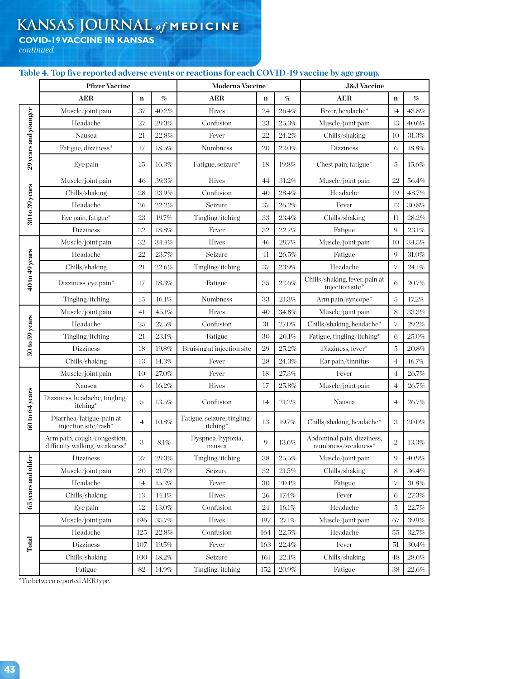# **KANSAS JOURNAL** *of* **MEDICINE**

**COVID-19 VACCINE IN KANSAS**

*continued.*

## **Table 4. Top five reported adverse events or reactions for each COVID-19 vaccine by age group.**

|                                       | <b>Pfizer Vaccine</b>                                       |                |          | <b>Moderna Vaccine</b>                  |             |          | <b>J&amp;J Vaccine</b>                            |                |          |
|---------------------------------------|-------------------------------------------------------------|----------------|----------|-----------------------------------------|-------------|----------|---------------------------------------------------|----------------|----------|
|                                       | <b>AER</b>                                                  | $\mathbf n$    | %        | <b>AER</b>                              | $\mathbf n$ | %        | <b>AER</b>                                        | $\mathbf n$    | %        |
|                                       | Muscle/joint pain                                           | 37             | 40.2%    | <b>Hives</b>                            | 24          | 26.4%    | Fever, headache*                                  | 14             | 43.8%    |
|                                       | Headache                                                    | 27             | 29.3%    | Confusion                               | 23          | $25.3\%$ | Muscle/joint pain                                 | 13             | 40.6%    |
|                                       | Nausea                                                      | 21             | 22.8%    | Fever                                   | 22          | 24.2%    | Chills/shaking                                    | 10             | 31.3%    |
|                                       | Fatigue, dizziness*                                         | 17             | 18.5%    | <b>Numbness</b>                         | 20          | 22.0%    | <b>Dizziness</b>                                  | 6              | 18.8%    |
| 29 years and younger                  | Eye pain                                                    | 15             | 16.3%    | Fatigue, seizure*                       | 18          | 19.8%    | Chest pain, fatigue*                              | 5              | 15.6%    |
|                                       | Muscle/joint pain                                           | 46             | $39.3\%$ | <b>Hives</b>                            | 44          | 31.2%    | Muscle/joint pain                                 | 22             | 56.4%    |
|                                       | Chills/shaking                                              | 28             | 23.9%    | Confusion                               | 40          | 28.4%    | Headache                                          | 19             | 48.7%    |
|                                       | Headache                                                    | 26             | 22.2%    | Seizure                                 | 37          | 26.2%    | Fever                                             | 12             | $30.8\%$ |
| $30\,\mathrm{to}\,39\,\mathrm{years}$ | Eye pain, fatigue*                                          | 23             | 19.7%    | Tingling/itching                        | 33          | 23.4%    | Chills/shaking                                    | 11             | 28.2%    |
|                                       | <b>Dizziness</b>                                            | 22             | 18.8%    | Fever                                   | 32          | 22.7%    | Fatigue                                           | $\overline{Q}$ | 23.1%    |
|                                       | Muscle/joint pain                                           | 32             | 34.4%    | <b>Hives</b>                            | 46          | 29.7%    | Muscle/joint pain                                 | 10             | $34.5\%$ |
|                                       | Headache                                                    | 22             | 23.7%    | Seizure                                 | 41          | 26.5%    | Fatigue                                           | 9              | 31.0%    |
|                                       | Chills/shaking                                              | 21             | $22.6\%$ | Tingling/itching                        | 37          | $23.9\%$ | Headache                                          | 7              | 24.1%    |
| 40 to 49 years                        | Dizziness, eye pain*                                        | 17             | 18.3%    | Fatigue                                 | 35          | 22.6%    | Chills/shaking, fever, pain at<br>injection site* | 6              | 20.7%    |
|                                       | Tingling/itching                                            | 15             | 16.1%    | Numbness                                | 33          | 21.3%    | Arm pain/syncope*                                 | 5              | 17.2%    |
| 50 to 59 years                        | Muscle/joint pain                                           | 41             | 45.1%    | <b>Hives</b>                            | 40          | $34.8\%$ | Muscle/joint pain                                 | 8              | 33.3%    |
|                                       | Headache                                                    | 25             | 27.5%    | Confusion                               | 31          | 27.0%    | Chills/shaking, headache*                         | 7              | 29.2%    |
|                                       | Tingling/itching                                            | 21             | 23.1%    | Fatigue                                 | 30          | 26.1%    | Fatigue, tingling/itching*                        | 6              | 25.0%    |
|                                       | Dizziness                                                   | 18             | 19.8%    | Bruising at injection site              | 29          | $25.2\%$ | Dizziness, fever*                                 | 5              | 20.8%    |
|                                       | Chills/shaking                                              | 13             | 14.3%    | Fever                                   | 28          | 24.3%    | Ear pain/tinnitus                                 | 4              | 16.7%    |
|                                       | Muscle/joint pain                                           | 10             | 27.0%    | Fever                                   | 18          | $27.3\%$ | Fever                                             | $\overline{4}$ | 26.7%    |
|                                       | Nausea                                                      | 6              | 16.2%    | <b>Hives</b>                            | 17          | 25.8%    | Muscle/joint pain                                 | $\overline{4}$ | 26.7%    |
| 60 to 64 years                        | Dizziness, headache, tingling/<br>itching*                  | 5              | 13.5%    | Confusion                               | 14          | 21.2%    | Nausea                                            | 4              | 26.7%    |
|                                       | Diarrhea/fatigue/pain at<br>injection site/rash*            | $\overline{4}$ | 10.8%    | Fatigue, seizure, tingling/<br>itching* | 13          | 19.7%    | Chills/shaking, headache*                         | 3              | 20.0%    |
|                                       | Arm pain, cough/congestion,<br>difficulty walking/weakness* | 3              | $8.1\%$  | Dyspnea/hypoxia,<br>nausea              | 9           | 13.6%    | Abdominal pain, dizziness,<br>numbness/weakness*  | $\overline{2}$ | 13.3%    |
|                                       | Dizziness                                                   | 27             | 29.3%    | Tingling/itching                        | 38          | $25.5\%$ | Muscle/joint pain                                 | 9              | 40.9%    |
|                                       | Muscle/joint pain                                           | 20             | 21.7%    | Seizure                                 | 32          | $21.5\%$ | Chills/shaking                                    | 8              | 36.4%    |
|                                       | Headache                                                    | 14             | $15.2\%$ | Fever                                   | 30          | $20.1\%$ | Fatigue                                           | 7              | 31.8%    |
| 65 years and older                    | Chills/shaking                                              | 13             | 14.1%    | <b>Hives</b>                            | 26          | 17.4%    | Fever                                             | 6              | 27.3%    |
|                                       | Eye pain                                                    | 12             | $13.0\%$ | Confusion                               | 24          | 16.1%    | Headache                                          | $\mathbf 5$    | 22.7%    |
|                                       | Muscle/joint pain                                           | 196            | $35.7\%$ | <b>Hives</b>                            | 197         | $27.1\%$ | Muscle/joint pain                                 | 67             | $39.9\%$ |
|                                       | Headache                                                    | 125            | $22.8\%$ | Confusion                               | 164         | $22.5\%$ | Headache                                          | 55             | 32.7%    |
| Total                                 | Dizziness                                                   | 107            | $19.5\%$ | Fever                                   | 163         | $22.4\%$ | Fever                                             | 51             | $30.4\%$ |
|                                       | Chills/shaking                                              | 100            | 18.2%    | Seizure                                 | 161         | 22.1%    | Chills/shaking                                    | 48             | 28.6%    |
|                                       | Fatigue                                                     | $82\,$         | $14.9\%$ | Tingling/itching                        | 152         | $20.9\%$ | Fatigue                                           | 38             | $22.6\%$ |

\*Tie between reported AER type.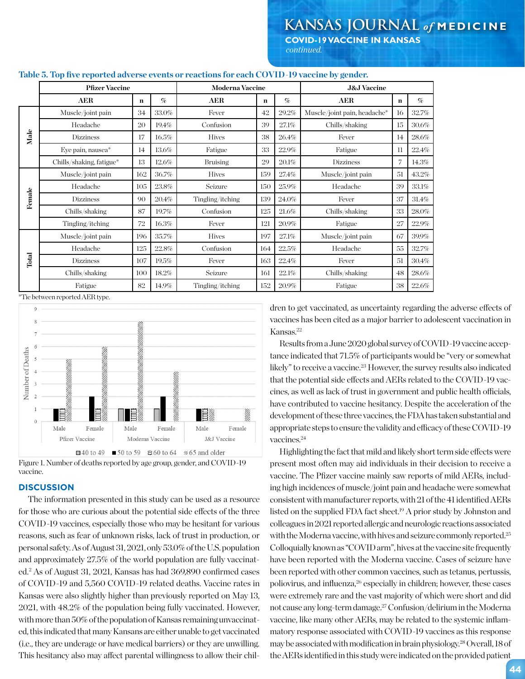**COVID-19 VACCINE IN KANSAS** *continued.*

|        | <b>Pfizer Vaccine</b>    |             |       |                  | <b>Moderna Vaccine</b> |       |                              | <b>J&amp;J</b> Vaccine |       |  |  |
|--------|--------------------------|-------------|-------|------------------|------------------------|-------|------------------------------|------------------------|-------|--|--|
|        | AER                      | $\mathbf n$ | %     | AER              | $\mathbf n$            | $\%$  | AER                          | n                      | $\%$  |  |  |
|        | Muscle/joint pain        | 34          | 33.0% | Fever            | 42                     | 29.2% | Muscle/joint pain, headache* | 16                     | 32.7% |  |  |
|        | Headache                 | 20          | 19.4% | Confusion        | 39                     | 27.1% | Chills/shaking               | 15                     | 30.6% |  |  |
| Male   | <b>Dizziness</b>         | 17          | 16.5% | <b>Hives</b>     | 38                     | 26.4% | Fever                        | 14                     | 28.6% |  |  |
|        | Eye pain, nausea*        | 14          | 13.6% | Fatigue          | 33                     | 22.9% | Fatigue                      | 11                     | 22.4% |  |  |
|        | Chills/shaking, fatigue* | 13          | 12.6% | <b>Bruising</b>  | 29                     | 20.1% | <b>Dizziness</b>             |                        | 14.3% |  |  |
|        | Muscle/joint pain        | 162         | 36.7% | <b>Hives</b>     | 159                    | 27.4% | Muscle/joint pain            | 51                     | 43.2% |  |  |
|        | Headache                 | 105         | 23.8% | Seizure          | 150                    | 25.9% | Headache                     | 39                     | 33.1% |  |  |
| Female | <b>Dizziness</b>         | 90          | 20.4% | Tingling/itching | 139                    | 24.0% | Fever                        | 37                     | 31.4% |  |  |
|        | Chills/shaking           | 87          | 19.7% | Confusion        | 125                    | 21.6% | Chills/shaking               | 33                     | 28.0% |  |  |
|        | Tingling/itching         | 72          | 16.3% | Fever            | 121                    | 20.9% | Fatigue                      | 27                     | 22.9% |  |  |
|        | Muscle/joint pain        | 196         | 35.7% | <b>Hives</b>     | 197                    | 27.1% | Muscle/joint pain            | 67                     | 39.9% |  |  |
|        | Headache                 | 125         | 22.8% | Confusion        | 164                    | 22.5% | Headache                     | 55                     | 32.7% |  |  |
| Total  | <b>Dizziness</b>         | 107         | 19.5% | Fever            | 163                    | 22.4% | Fever                        | 51                     | 30.4% |  |  |
|        | Chills/shaking           | 100         | 18.2% | Seizure          | 161                    | 22.1% | Chills/shaking               | 48                     | 28.6% |  |  |
|        | Fatigue                  | 82          | 14.9% | Tingling/itching | 152                    | 20.9% | Fatigue                      | 38                     | 22.6% |  |  |

#### **Table 5. Top five reported adverse events or reactions for each COVID-19 vaccine by gender.**

\*Tie between reported AER type.



Figure 1. Number of deaths reported by age group, gender, and COVID-19 vaccine.

## **DISCUSSION**

The information presented in this study can be used as a resource for those who are curious about the potential side effects of the three COVID-19 vaccines, especially those who may be hesitant for various reasons, such as fear of unknown risks, lack of trust in production, or personal safety. As of August 31, 2021, only 53.0% of the U.S. population and approximately 27.5% of the world population are fully vaccinated.2 As of August 31, 2021, Kansas has had 369,890 confirmed cases of COVID-19 and 5,560 COVID-19 related deaths. Vaccine rates in Kansas were also slightly higher than previously reported on May 13, 2021, with 48.2% of the population being fully vaccinated. However, with more than 50% of the population of Kansas remaining unvaccinated, this indicated that many Kansans are either unable to get vaccinated (i.e., they are underage or have medical barriers) or they are unwilling. This hesitancy also may affect parental willingness to allow their children to get vaccinated, as uncertainty regarding the adverse effects of vaccines has been cited as a major barrier to adolescent vaccination in Kansas.22

Results from a June 2020 global survey of COVID-19 vaccine acceptance indicated that 71.5% of participants would be "very or somewhat likely" to receive a vaccine.<sup>23</sup> However, the survey results also indicated that the potential side effects and AERs related to the COVID-19 vaccines, as well as lack of trust in government and public health officials, have contributed to vaccine hesitancy. Despite the acceleration of the development of these three vaccines, the FDA has taken substantial and appropriate steps to ensure the validity and efficacy of these COVID-19 vaccines.<sup>24</sup>

Highlighting the fact that mild and likely short term side effects were present most often may aid individuals in their decision to receive a vaccine. The Pfizer vaccine mainly saw reports of mild AERs, including high incidences of muscle/joint pain and headache were somewhat consistent with manufacturer reports, with 21 of the 41 identified AERs listed on the supplied FDA fact sheet.19 A prior study by Johnston and colleagues in 2021 reported allergic and neurologic reactions associated with the Moderna vaccine, with hives and seizure commonly reported.<sup>25</sup> Colloquially known as "COVID arm", hives at the vaccine site frequently have been reported with the Moderna vaccine. Cases of seizure have been reported with other common vaccines, such as tetanus, pertussis, poliovirus, and influenza,26 especially in children; however, these cases were extremely rare and the vast majority of which were short and did not cause any long-term damage.27 Confusion/delirium in the Moderna vaccine, like many other AERs, may be related to the systemic inflammatory response associated with COVID-19 vaccines as this response may be associated with modification in brain physiology.28 Overall, 18 of the AERs identified in this study were indicated on the provided patient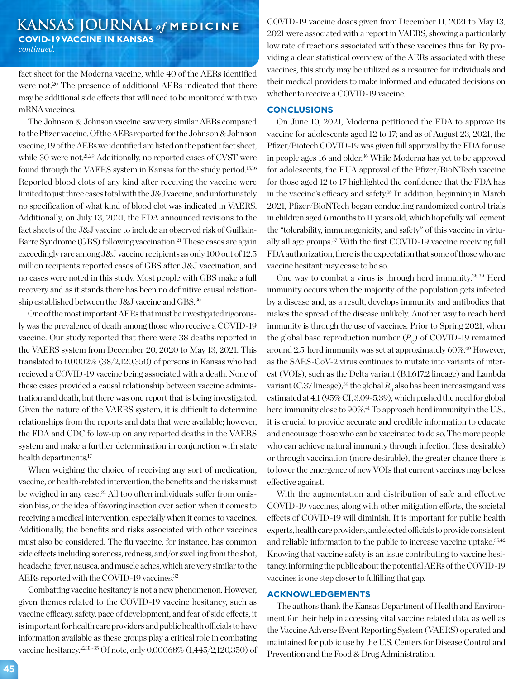## **KANSAS JOURNAL** *of* **MEDICINE COVID-19 VACCINE IN KANSAS** *continued.*

fact sheet for the Moderna vaccine, while 40 of the AERs identified were not.<sup>20</sup> The presence of additional AERs indicated that there may be additional side effects that will need to be monitored with two mRNA vaccines.

The Johnson & Johnson vaccine saw very similar AERs compared to the Pfizer vaccine. Of the AERs reported for the Johnson & Johnson vaccine, 19 of the AERs we identified are listed on the patient fact sheet, while 30 were not.<sup>21,29</sup> Additionally, no reported cases of CVST were found through the VAERS system in Kansas for the study period.15,16 Reported blood clots of any kind after receiving the vaccine were limited to just three cases total with the J&J vaccine, and unfortunately no specification of what kind of blood clot was indicated in VAERS. Additionally, on July 13, 2021, the FDA announced revisions to the fact sheets of the J&J vaccine to include an observed risk of Guillain-Barre Syndrome (GBS) following vaccination.<sup>21</sup> These cases are again exceedingly rare among J&J vaccine recipients as only 100 out of 12.5 million recipients reported cases of GBS after J&J vaccination, and no cases were noted in this study. Most people with GBS make a full recovery and as it stands there has been no definitive causal relationship established between the J&J vaccine and GBS.30

One of the most important AERs that must be investigated rigorously was the prevalence of death among those who receive a COVID-19 vaccine. Our study reported that there were 38 deaths reported in the VAERS system from December 20, 2020 to May 13, 2021. This translated to 0.0002% (38/2,120,350) of persons in Kansas who had recieved a COVID-19 vaccine being associated with a death. None of these cases provided a causal relationship between vaccine administration and death, but there was one report that is being investigated. Given the nature of the VAERS system, it is difficult to determine relationships from the reports and data that were available; however, the FDA and CDC follow-up on any reported deaths in the VAERS system and make a further determination in conjunction with state health departments.17

When weighing the choice of receiving any sort of medication, vaccine, or health-related intervention, the benefits and the risks must be weighed in any case.31 All too often individuals suffer from omission bias, or the idea of favoring inaction over action when it comes to receiving a medical intervention, especially when it comes to vaccines. Additionally, the benefits and risks associated with other vaccines must also be considered. The flu vaccine, for instance, has common side effects including soreness, redness, and/or swelling from the shot, headache, fever, nausea, and muscle aches, which are very similar to the AERs reported with the COVID-19 vaccines.<sup>32</sup>

Combatting vaccine hesitancy is not a new phenomenon. However, given themes related to the COVID-19 vaccine hesitancy, such as vaccine efficacy, safety, pace of development, and fear of side effects, it is important for health care providers and public health officials to have information available as these groups play a critical role in combating vaccine hesitancy.22,33-35 Of note, only 0.00068% (1,445/2,120,350) of

COVID-19 vaccine doses given from December 11, 2021 to May 13, 2021 were associated with a report in VAERS, showing a particularly low rate of reactions associated with these vaccines thus far. By providing a clear statistical overview of the AERs associated with these vaccines, this study may be utilized as a resource for individuals and their medical providers to make informed and educated decisions on whether to receive a COVID-19 vaccine.

#### **CONCLUSIONS**

On June 10, 2021, Moderna petitioned the FDA to approve its vaccine for adolescents aged 12 to 17; and as of August 23, 2021, the Pfizer/Biotech COVID-19 was given full approval by the FDA for use in people ages 16 and older.<sup>36</sup> While Moderna has yet to be approved for adolescents, the EUA approval of the Pfizer/BioNTech vaccine for those aged 12 to 17 highlighted the confidence that the FDA has in the vaccine's efficacy and safety.18 In addition, beginning in March 2021, Pfizer/BioNTech began conducting randomized control trials in children aged 6 months to 11 years old, which hopefully will cement the "tolerability, immunogenicity, and safety" of this vaccine in virtually all age groups.37 With the first COVID-19 vaccine receiving full FDA authorization, there is the expectation that some of those who are vaccine hesitant may cease to be so.

One way to combat a virus is through herd immunity.38,39 Herd immunity occurs when the majority of the population gets infected by a disease and, as a result, develops immunity and antibodies that makes the spread of the disease unlikely. Another way to reach herd immunity is through the use of vaccines. Prior to Spring 2021, when the global base reproduction number  $(R_0)$  of COVID-19 remained around 2.5, herd immunity was set at approximately 60%.40 However, as the SARS-CoV-2 virus continues to mutate into variants of interest (VOIs), such as the Delta variant (B.1.617.2 lineage) and Lambda variant (C.37 lineage),<sup>39</sup> the global  $R_0$  also has been increasing and was estimated at 4.1 (95% CI, 3.09-5.39), which pushed the need for global herd immunity close to 90%.<sup>41</sup> To approach herd immunity in the U.S., it is crucial to provide accurate and credible information to educate and encourage those who can be vaccinated to do so. The more people who can achieve natural immunity through infection (less desirable) or through vaccination (more desirable), the greater chance there is to lower the emergence of new VOIs that current vaccines may be less effective against.

With the augmentation and distribution of safe and effective COVID-19 vaccines, along with other mitigation efforts, the societal effects of COVID-19 will diminish. It is important for public health experts, health care providers, and elected officials to provide consistent and reliable information to the public to increase vaccine uptake.35,42 Knowing that vaccine safety is an issue contributing to vaccine hesitancy, informing the public about the potential AERs of the COVID-19 vaccines is one step closer to fulfilling that gap.

## **ACKNOWLEDGEMENTS**

The authors thank the Kansas Department of Health and Environment for their help in accessing vital vaccine related data, as well as the Vaccine Adverse Event Reporting System (VAERS) operated and maintained for public use by the U.S. Centers for Disease Control and Prevention and the Food & Drug Administration.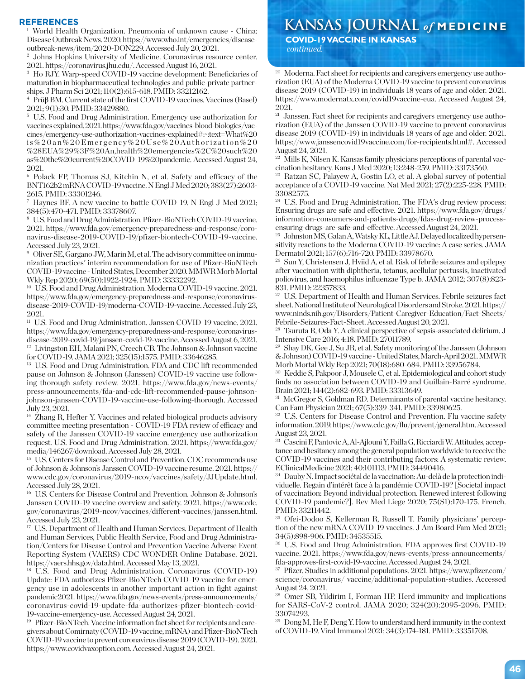Disease Outbreak News. 2020. https://www.who.int/emergencies/diseaseoutbreak-news/item/2020-DON229. Accessed July 20, 2021.

<sup>2</sup> Johns Hopkins University of Medicine. Coronavirus resource center. 2021. https://coronavirus.jhu.edu/. Accessed August 16, 2021.

<sup>3</sup> Ho RJY. Warp-speed COVID-19 vaccine development: Beneficiaries of maturation in biopharmaceutical technologies and public-private partnerships. J Pharm Sci 2021; 110(2):615-618. PMID: 33212162.

<sup>4</sup> Prüβ BM. Current state of the first COVID-19 vaccines. Vaccines (Basel) 2021; 9(1):30. PMID: 33429880.

<sup>5</sup> U.S. Food and Drug Administration. Emergency use authorization for vaccines explained. 2021. https://www.fda.gov/vaccines-blood-biologics/vaccines/emergency-use-authorization-vaccines-explained#:~:text=What%20 is%20an%20Emergency%20Use%20Authorization%20 %28EUA%29%3F%20An,health%20emergencies%2C%20such%20 as%20the%20current%20COVID-19%20pandemic. Accessed August 24, 2021.

<sup>6</sup> Polack FP, Thomas SJ, Kitchin N, et al. Safety and efficacy of the BNT162b2 mRNA COVID-19 vaccine. N Engl J Med 2020; 383(27):2603- 2615. PMID: 33301246.

<sup>7</sup> Haynes BF. A new vaccine to battle COVID-19. N Engl J Med 2021; 384(5):470-471. PMID: 33378607.

<sup>8</sup> U.S. Food and Drug Administration. Pfizer-BioNTech COVID-19 vaccine. 2021. https://www.fda.gov/emergency-preparedness-and-response/coronavirus-disease-2019-COVID-19/pfizer-biontech-COVID-19-vaccine. Accessed July 23, 2021.

<sup>9</sup> Oliver SE, Gargano JW, Marin M, et al. The advisory committee on immunization practices' interim recommendation for use of Pfizer-BioNTech COVID-19 vaccine - United States, December 2020. MMWR Morb Mortal Wkly Rep 2020; 69(50):1922-1924. PMID: 33332292.

<sup>10</sup> U.S. Food and Drug Administration. Moderna COVID-19 vaccine. 2021. https://www.fda.gov/emergency-preparedness-and-response/coronavirusdisease-2019-COVID-19/moderna-COVID-19-vaccine. Accessed July 23, 2021.

 $^{\rm 11}$  U.S. Food and Drug Administration. Janssen COVID-19 vaccine. 2021. https://www.fda.gov/emergency-preparedness-and-response/coronavirusdisease-2019-covid-19/janssen-covid-19-vaccine. Accessed August 6, 2021. <sup>12</sup> Livingston EH, Malani PN, Creech CB. The Johnson & Johnson vaccine for COVID-19. JAMA 2021; 325(15):1575. PMID: 33646285.

<sup>13</sup> U.S. Food and Drug Administration. FDA and CDC lift recommended pause on Johnson & Johnson (Janssen) COVID-19 vaccine use following thorough safety review. 2021. https://www.fda.gov/news-events/ press-announcements/fda-and-cdc-lift-recommended-pause-johnsonjohnson-janssen-COVID-19-vaccine-use-following-thorough. Accessed July 23, 2021.

<sup>14</sup> Zhang R, Hefter Y. Vaccines and related biological products advisory committee meeting presentation - COVID-19 FDA review of efficacy and safety of the Janssen COVID-19 vaccine emergency use authorization request. U.S. Food and Drug Administration. 2021. https://www.fda.gov/ media/146267/download. Accessed July 28, 2021.

<sup>15</sup> U.S. Centers for Disease Control and Prevention. CDC recommends use of Johnson & Johnson's Janssen COVID-19 vaccine resume. 2021. https:// www.cdc.gov/coronavirus/2019-ncov/vaccines/safety/JJUpdate.html. Accessed July 28, 2021.

<sup>16</sup> U.S. Centers for Disease Control and Prevention. Johnson & Johnson's Janssen COVID-19 vaccine overview and safety. 2021. https://www.cdc. gov/coronavirus/2019-ncov/vaccines/different-vaccines/janssen.html. Accessed July 23, 2021.

<sup>17</sup> U.S. Department of Health and Human Services. Department of Health and Human Services, Public Health Service, Food and Drug Administration/Centers for Disease Control and Prevention Vaccine Adverse Event Reporting System (VAERS) CDC WONDER Online Database. 2021. https://vaers.hhs.gov/data.html. Accessed May 13, 2021.

<sup>18</sup> U.S. Food and Drug Administration. Coronavirus (COVID -19) Update: FDA authorizes Pfizer-BioNTech COVID-19 vaccine for emergency use in adolescents in another important action in fight against pandemic2021. https://www.fda.gov/news-events/press-announcements/ coronavirus-covid-19-update-fda-authorizes-pfizer-biontech-covid-19-vaccine-emergency-use. Accessed August 24, 2021.

<sup>19</sup> Pfizer-BioNTech. Vaccine information fact sheet for recipients and caregivers about Comirnaty (COVID-19 vaccine, mRNA) and Pfizer-BioNTech COVID-19 vaccine to prevent coronavirus disease 2019 (COVID-19). 2021. https://www.covidvaxoption.com. Accessed August 24, 2021.

## **KEFERENCES**<br><sup>1</sup> World Health Organization. Pneumonia of unknown cause - China: **KANSAS JOURNAL** of MEDICINE  **COVID-19 VACCINE IN KANSAS**

 *continued.*

<sup>20</sup> Moderna. Fact sheet for recipients and caregivers emergency use authorization (EUA) of the Moderna COVID-19 vaccine to prevent coronavirus disease 2019 (COVID-19) in individuals 18 years of age and older. 2021. https://www.modernatx.com/covid19vaccine-eua. Accessed August 24, 2021.

<sup>21</sup> Janssen. Fact sheet for recipients and caregivers emergency use authorization (EUA) of the Janssen COVID-19 vaccine to prevent coronavirus disease 2019 (COVID-19) in individuals 18 years of age and older. 2021. https://www.janssencovid19vaccine.com/for-recipients.html#. Accessed August 24, 2021.

<sup>22</sup> Mills K, Nilsen K. Kansas family physicians perceptions of parental vaccination hesitancy. Kans J Med 2020; 13:248-259. PMID: 33173560.

<sup>23</sup> Ratzan SC, Palayew A, Gostin LO, et al. A global survey of potential acceptance of a COVID-19 vaccine. Nat Med 2021; 27(2):225-228. PMID: 33082575.

<sup>24</sup> U.S. Food and Drug Administration. The FDA's drug review process: Ensuring drugs are safe and effective. 2021. https://www.fda.gov/drugs/ information-consumers-and-patients-drugs/fdas-drug-review-processensuring-drugs-are-safe-and-effective. Accessed August 24, 2021.

<sup>25</sup> Johnston MS, Galan A, Watsky KL, Little AJ. Delayed localized hypersensitivity reactions to the Moderna COVID-19 vaccine: A case series. JAMA Dermatol 2021; 157(6):716-720. PMID: 33978670.

 $26$  Sun Y, Christensen J, Hviid A, et al. Risk of febrile seizures and epilepsy after vaccination with diphtheria, tetanus, acellular pertussis, inactivated poliovirus, and haemophilus influenzae Type b. JAMA 2012; 307(8):823- 831. PMID: 22357833.

<sup>27</sup> U.S. Department of Health and Human Services. Febrile seizures fact sheet. National Institute of Neurological Disorders and Stroke. 2021. https:// www.ninds.nih.gov/Disorders/Patient-Caregiver-Education/Fact-Sheets/ Febrile-Seizures-Fact-Sheet. Accessed August 20, 2021.

<sup>28</sup> Tsuruta R, Oda Y. A clinical perspective of sepsis-associated delirium. J Intensive Care 2016; 4:18. PMID: 27011789.

<sup>29</sup> Shay DK, Gee J, Su JR, et al. Safety monitoring of the Janssen (Johnson & Johnson) COVID-19 vaccine - United States, March-April 2021. MMWR Morb Mortal Wkly Rep 2021; 70(18):680-684. PMID: 33956784.

<sup>30</sup> Keddie S, Pakpoor J, Mousele C, et al. Epidemiological and cohort study finds no association between COVID-19 and Guillain-Barré syndrome. Brain 2021; 144(2):682-693. PMID: 33313649.

<sup>31</sup> McGregor S, Goldman RD. Determinants of parental vaccine hesitancy. Can Fam Physician 2021; 67(5):339-341. PMID: 33980625.

<sup>32</sup> U.S. Centers for Disease Control and Prevention. Flu vaccine safety information. 2019. https://www.cdc.gov/flu/prevent/general.htm. Accessed August 23, 2021.

<sup>33</sup> Cascini F, Pantovic A, Al-Ajlouni Y, Failla G, Ricciardi W. Attitudes, acceptance and hesitancy among the general population worldwide to receive the COVID-19 vaccines and their contributing factors: A systematic review. EClinicalMedicine 2021; 40:101113. PMID: 34490416.

<sup>34</sup> Dauby N. Impact sociétal de la vaccination: Au-delà de la protection individuelle. Regain d'intérêt face à la pandémie COVID-19? [Societal impact of vaccination: Beyond individual protection. Renewed interest following COVID-19 pandemic?]. Rev Med Liege 2020; 75(S1):170-175. French. PMID: 33211442.

<sup>35</sup> Ofei-Dodoo S, Kellerman R, Russell T. Family physicians' perception of the new mRNA COVID-19 vaccines. J Am Board Fam Med 2021; 34(5):898-906. PMID: 34535515.

<sup>36</sup> U.S. Food and Drug Administration. FDA approves first COVID-19 vaccine. 2021. https://www.fda.gov/news-events/press-announcements/ fda-approves-first-covid-19-vaccine. Accessed August 24, 2021.

<sup>37</sup> Pfizer. Studies in additional populations. 2021. https://www.pfizer.com/ science/coronavirus/ vaccine/additional-population-studies. Accessed August 24, 2021.

<sup>38</sup> Omer SB, Yildirim I, Forman HP. Herd immunity and implications for SARS-CoV-2 control. JAMA 2020; 324(20):2095-2096. PMID: 33074293.

<sup>39</sup> Dong M, He F, Deng Y. How to understand herd immunity in the context of COVID-19. Viral Immunol 2021; 34(3):174-181. PMID: 33351708.